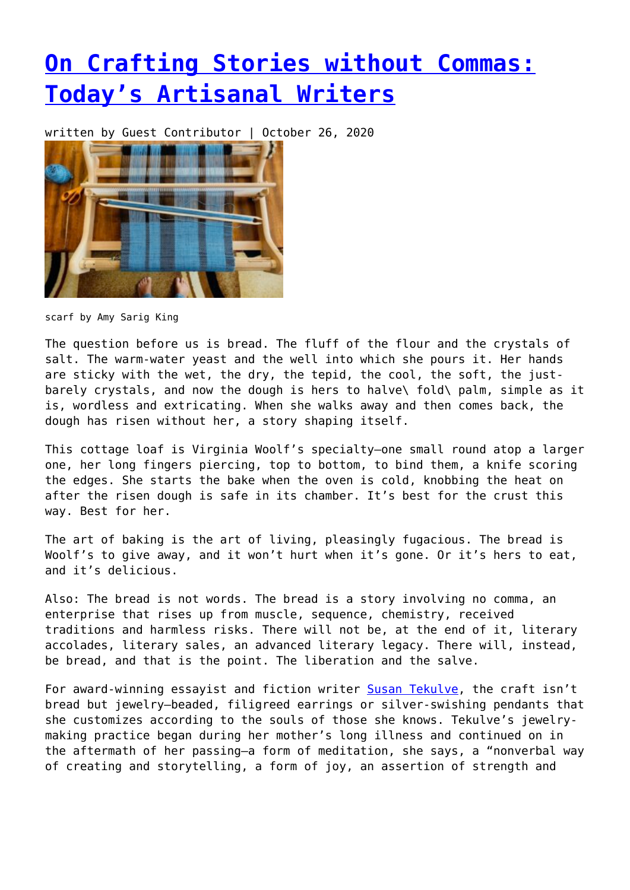## **[On Crafting Stories without Commas:](https://entropymag.org/on-crafting-stories-without-commas-todays-artisanal-writers/) [Today's Artisanal Writers](https://entropymag.org/on-crafting-stories-without-commas-todays-artisanal-writers/)**

written by Guest Contributor | October 26, 2020



scarf by Amy Sarig King

The question before us is bread. The fluff of the flour and the crystals of salt. The warm-water yeast and the well into which she pours it. Her hands are sticky with the wet, the dry, the tepid, the cool, the soft, the justbarely crystals, and now the dough is hers to halve\ fold\ palm, simple as it is, wordless and extricating. When she walks away and then comes back, the dough has risen without her, a story shaping itself.

This cottage loaf is Virginia Woolf's specialty—one small round atop a larger one, her long fingers piercing, top to bottom, to bind them, a knife scoring the edges. She starts the bake when the oven is cold, knobbing the heat on after the risen dough is safe in its chamber. It's best for the crust this way. Best for her.

The art of baking is the art of living, pleasingly fugacious. The bread is Woolf's to give away, and it won't hurt when it's gone. Or it's hers to eat, and it's delicious.

Also: The bread is not words. The bread is a story involving no comma, an enterprise that rises up from muscle, sequence, chemistry, received traditions and harmless risks. There will not be, at the end of it, literary accolades, literary sales, an advanced literary legacy. There will, instead, be bread, and that is the point. The liberation and the salve.

For award-winning essayist and fiction writer [Susan Tekulve](http://susantekulve.com/about/), the craft isn't bread but jewelry—beaded, filigreed earrings or silver-swishing pendants that she customizes according to the souls of those she knows. Tekulve's jewelrymaking practice began during her mother's long illness and continued on in the aftermath of her passing—a form of meditation, she says, a "nonverbal way of creating and storytelling, a form of joy, an assertion of strength and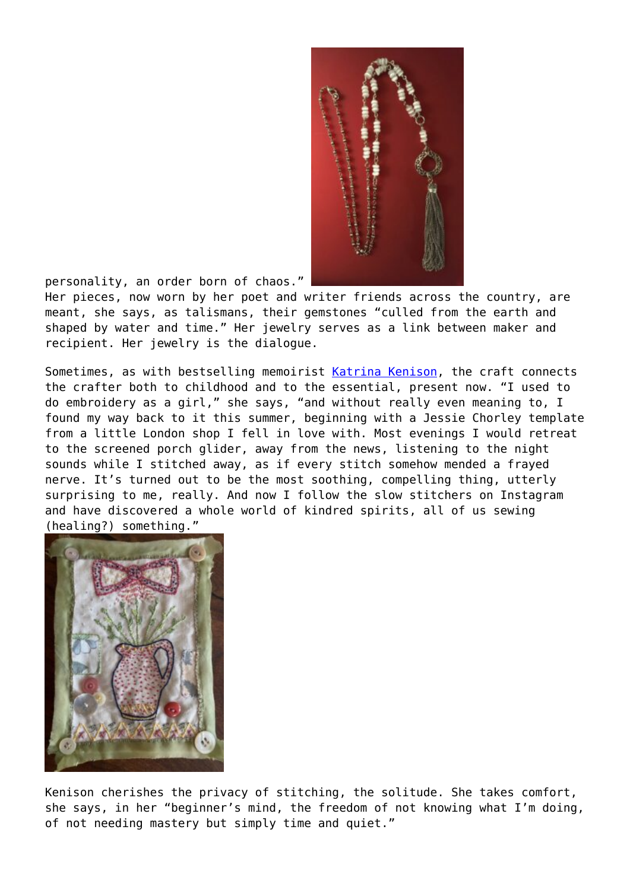

personality, an order born of chaos."

Her pieces, now worn by her poet and writer friends across the country, are meant, she says, as talismans, their gemstones "culled from the earth and shaped by water and time." Her jewelry serves as a link between maker and recipient. Her jewelry is the dialogue.

Sometimes, as with bestselling memoirist [Katrina Kenison](https://www.katrinakenison.com/), the craft connects the crafter both to childhood and to the essential, present now. "I used to do embroidery as a girl," she says, "and without really even meaning to, I found my way back to it this summer, beginning with a Jessie Chorley template from a little London shop I fell in love with. Most evenings I would retreat to the screened porch glider, away from the news, listening to the night sounds while I stitched away, as if every stitch somehow mended a frayed nerve. It's turned out to be the most soothing, compelling thing, utterly surprising to me, really. And now I follow the slow stitchers on Instagram and have discovered a whole world of kindred spirits, all of us sewing (healing?) something."



Kenison cherishes the privacy of stitching, the solitude. She takes comfort, she says, in her "beginner's mind, the freedom of not knowing what I'm doing, of not needing mastery but simply time and quiet."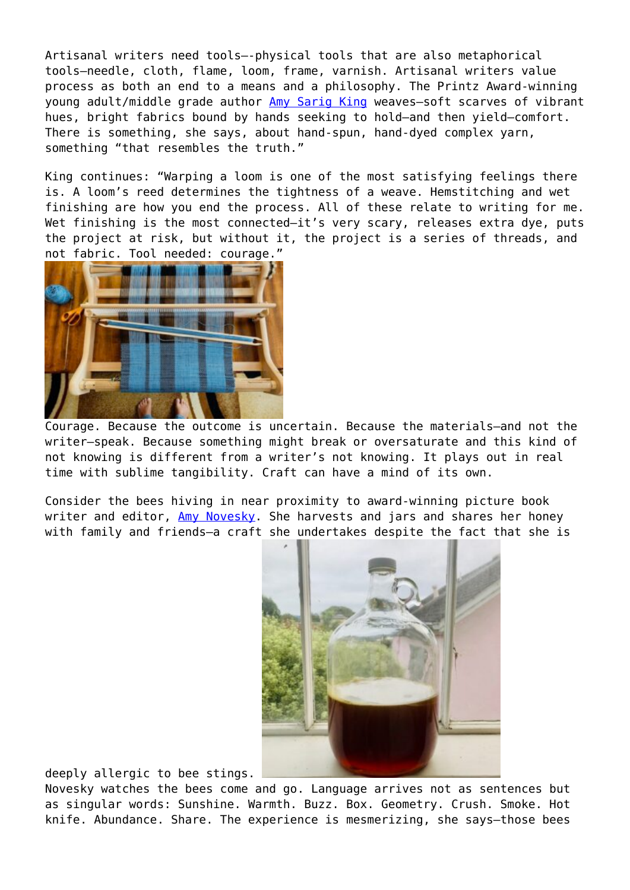Artisanal writers need tools—-physical tools that are also metaphorical tools–needle, cloth, flame, loom, frame, varnish. Artisanal writers value process as both an end to a means and a philosophy. The Printz Award-winning young adult/middle grade author [Amy Sarig King](https://www.as-king.com/) weaves—soft scarves of vibrant hues, bright fabrics bound by hands seeking to hold—and then yield—comfort. There is something, she says, about hand-spun, hand-dyed complex yarn, something "that resembles the truth."

King continues: "Warping a loom is one of the most satisfying feelings there is. A loom's reed determines the tightness of a weave. Hemstitching and wet finishing are how you end the process. All of these relate to writing for me. Wet finishing is the most connected-it's very scary, releases extra dye, puts the project at risk, but without it, the project is a series of threads, and not fabric. Tool needed: courage."



Courage. Because the outcome is uncertain. Because the materials—and not the writer—speak. Because something might break or oversaturate and this kind of not knowing is different from a writer's not knowing. It plays out in real time with sublime tangibility. Craft can have a mind of its own.

Consider the bees hiving in near proximity to award-winning picture book writer and editor, [Amy Novesky](https://www.amynovesky.com/). She harvests and jars and shares her honey with family and friends-a craft she undertakes despite the fact that she is



deeply allergic to bee stings.

Novesky watches the bees come and go. Language arrives not as sentences but as singular words: Sunshine. Warmth. Buzz. Box. Geometry. Crush. Smoke. Hot knife. Abundance. Share. The experience is mesmerizing, she says—those bees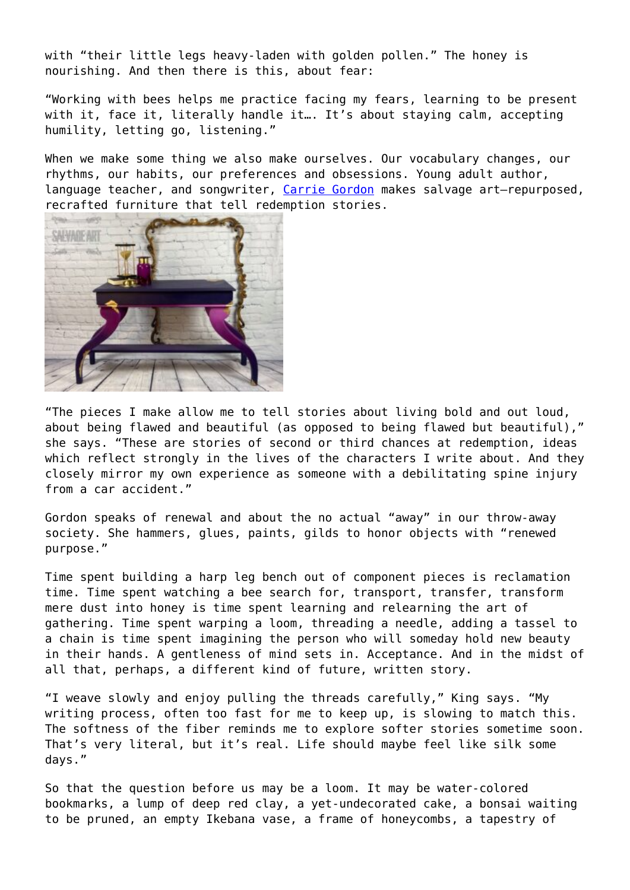with "their little legs heavy-laden with golden pollen." The honey is nourishing. And then there is this, about fear:

"Working with bees helps me practice facing my fears, learning to be present with it, face it, literally handle it... It's about staying calm, accepting humility, letting go, listening."

When we make some thing we also make ourselves. Our vocabulary changes, our rhythms, our habits, our preferences and obsessions. Young adult author, language teacher, and songwriter, [Carrie Gordon](https://about.me/cgwatson) makes salvage art-repurposed, recrafted furniture that tell redemption stories.



"The pieces I make allow me to tell stories about living bold and out loud, about being flawed and beautiful (as opposed to being flawed but beautiful)," she says. "These are stories of second or third chances at redemption, ideas which reflect strongly in the lives of the characters I write about. And they closely mirror my own experience as someone with a debilitating spine injury from a car accident."

Gordon speaks of renewal and about the no actual "away" in our throw-away society. She hammers, glues, paints, gilds to honor objects with "renewed purpose."

Time spent building a harp leg bench out of component pieces is reclamation time. Time spent watching a bee search for, transport, transfer, transform mere dust into honey is time spent learning and relearning the art of gathering. Time spent warping a loom, threading a needle, adding a tassel to a chain is time spent imagining the person who will someday hold new beauty in their hands. A gentleness of mind sets in. Acceptance. And in the midst of all that, perhaps, a different kind of future, written story.

"I weave slowly and enjoy pulling the threads carefully," King says. "My writing process, often too fast for me to keep up, is slowing to match this. The softness of the fiber reminds me to explore softer stories sometime soon. That's very literal, but it's real. Life should maybe feel like silk some days."

So that the question before us may be a loom. It may be water-colored bookmarks, a lump of deep red clay, a yet-undecorated cake, a bonsai waiting to be pruned, an empty Ikebana vase, a frame of honeycombs, a tapestry of